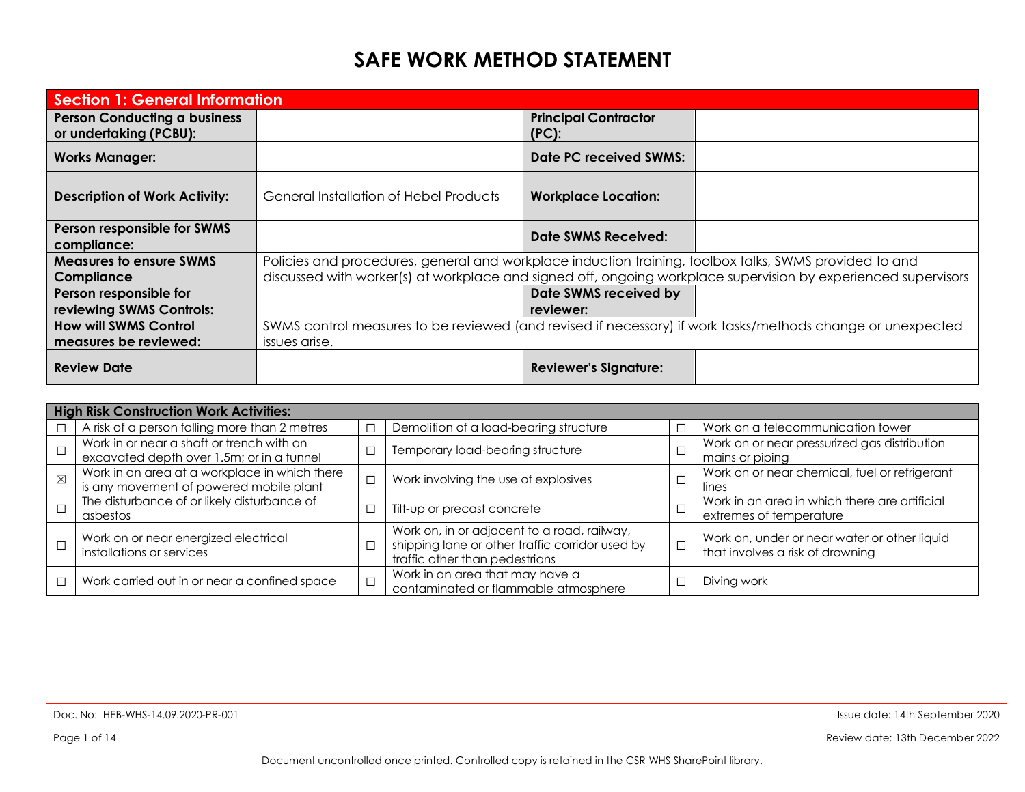| <b>Section 1: General Information</b>                         |                                                                                                        |                                         |                                                                                                                |
|---------------------------------------------------------------|--------------------------------------------------------------------------------------------------------|-----------------------------------------|----------------------------------------------------------------------------------------------------------------|
| <b>Person Conducting a business</b><br>or undertaking (PCBU): |                                                                                                        | <b>Principal Contractor</b><br>$(PC)$ : |                                                                                                                |
| <b>Works Manager:</b>                                         |                                                                                                        | Date PC received SWMS:                  |                                                                                                                |
| <b>Description of Work Activity:</b>                          | General Installation of Hebel Products                                                                 | <b>Workplace Location:</b>              |                                                                                                                |
| Person responsible for SWMS<br>compliance:                    |                                                                                                        | Date SWMS Received:                     |                                                                                                                |
| <b>Measures to ensure SWMS</b><br>Compliance                  | Policies and procedures, general and workplace induction training, toolbox talks, SWMS provided to and |                                         | discussed with worker(s) at workplace and signed off, ongoing workplace supervision by experienced supervisors |
| Person responsible for<br>reviewing SWMS Controls:            |                                                                                                        | Date SWMS received by<br>reviewer:      |                                                                                                                |
| <b>How will SWMS Control</b><br>measures be reviewed:         | issues arise.                                                                                          |                                         | SWMS control measures to be reviewed (and revised if necessary) if work tasks/methods change or unexpected     |
| <b>Review Date</b>                                            |                                                                                                        | <b>Reviewer's Signature:</b>            |                                                                                                                |

|             | <b>High Risk Construction Work Activities:</b>                                           |        |                                                                                                                                  |                                                                                  |
|-------------|------------------------------------------------------------------------------------------|--------|----------------------------------------------------------------------------------------------------------------------------------|----------------------------------------------------------------------------------|
|             | A risk of a person falling more than 2 metres                                            |        | Demolition of a load-bearing structure                                                                                           | Work on a telecommunication tower                                                |
|             | Work in or near a shaft or trench with an<br>excavated depth over 1.5m; or in a tunnel   |        | Temporary load-bearing structure                                                                                                 | Work on or near pressurized gas distribution<br>mains or piping                  |
| $\boxtimes$ | Work in an area at a workplace in which there<br>is any movement of powered mobile plant | $\Box$ | Work involving the use of explosives                                                                                             | Work on or near chemical, fuel or refrigerant<br>lines                           |
|             | The disturbance of or likely disturbance of<br>asbestos                                  |        | Tilt-up or precast concrete                                                                                                      | Work in an area in which there are artificial<br>extremes of temperature         |
|             | Work on or near energized electrical<br>installations or services                        |        | Work on, in or adjacent to a road, railway,<br>shipping lane or other traffic corridor used by<br>traffic other than pedestrians | Work on, under or near water or other liquid<br>that involves a risk of drowning |
|             | Work carried out in or near a confined space                                             |        | Work in an area that may have a<br>contaminated or flammable atmosphere                                                          | Diving work                                                                      |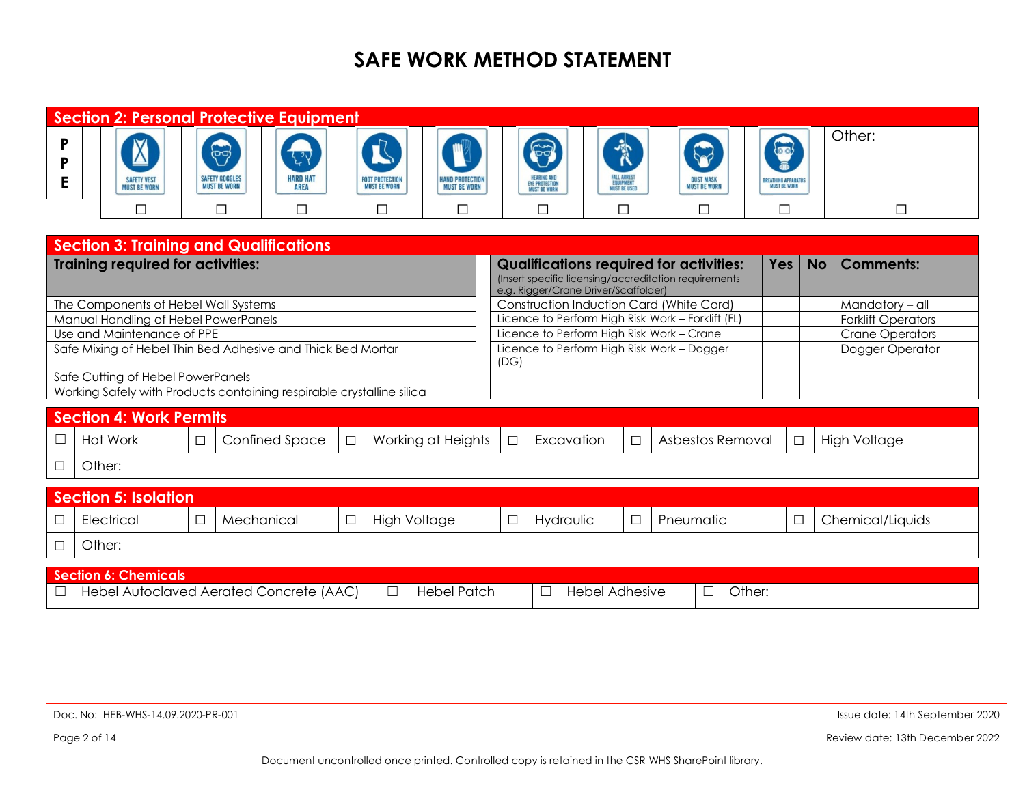|        |                                               | <b>Section 2: Personal Protective Equipment</b>                       |        |                                                             |                                                               |        |                                                    |                                               |                                           |                                                                         |                                                      |        |                                                                                                          |                        |                                                   |           |                           |
|--------|-----------------------------------------------|-----------------------------------------------------------------------|--------|-------------------------------------------------------------|---------------------------------------------------------------|--------|----------------------------------------------------|-----------------------------------------------|-------------------------------------------|-------------------------------------------------------------------------|------------------------------------------------------|--------|----------------------------------------------------------------------------------------------------------|------------------------|---------------------------------------------------|-----------|---------------------------|
| P<br>Е |                                               | <b>SAFETY VEST</b><br><b>MUST BE WORN</b>                             |        | $\bigoplus$<br><b>SAFETY GOGGLES</b><br><b>MUST BE WORN</b> | $\mathcal{L}^{\mathcal{A}}$<br><b>HARD HAT</b><br><b>AREA</b> |        | R<br><b>FOOT PROTECTION</b><br><b>MUST BE WORN</b> | <b>HAND PROTECTION</b><br><b>MUST BE WORN</b> |                                           | S<br><b>HEARING AND</b><br><b>EYE PROTECTION</b><br><b>MUST BE WORN</b> | 贪<br>FALL ARREST<br>EQUIPMENT<br><b>MUST BE USED</b> |        | <b>DUST MASK</b><br><b>MUST BE WORN</b>                                                                  |                        | <b>BREATHING APPARATUS</b><br><b>MUST BE WORN</b> |           | Other:                    |
|        |                                               | $\Box$                                                                |        | $\Box$                                                      | $\Box$                                                        |        | $\Box$                                             | $\Box$                                        |                                           | П                                                                       | $\Box$                                               |        | $\Box$                                                                                                   |                        | □                                                 |           | $\Box$                    |
|        | <b>Section 3: Training and Qualifications</b> |                                                                       |        |                                                             |                                                               |        |                                                    |                                               |                                           |                                                                         |                                                      |        |                                                                                                          |                        |                                                   |           |                           |
|        |                                               | <b>Training required for activities:</b>                              |        |                                                             |                                                               |        |                                                    |                                               |                                           | e.g. Rigger/Crane Driver/Scaffolder)                                    |                                                      |        | <b>Qualifications required for activities:</b><br>(Insert specific licensing/accreditation requirements) |                        | Yes                                               | <b>No</b> | <b>Comments:</b>          |
|        |                                               | The Components of Hebel Wall Systems                                  |        |                                                             |                                                               |        |                                                    |                                               |                                           |                                                                         |                                                      |        | <b>Construction Induction Card (White Card)</b>                                                          |                        |                                                   |           | Mandatory - all           |
|        |                                               | Manual Handling of Hebel PowerPanels                                  |        |                                                             |                                                               |        |                                                    |                                               |                                           |                                                                         |                                                      |        | Licence to Perform High Risk Work - Forklift (FL)                                                        |                        |                                                   |           | <b>Forklift Operators</b> |
|        |                                               | Use and Maintenance of PPE                                            |        |                                                             |                                                               |        |                                                    |                                               | Licence to Perform High Risk Work - Crane |                                                                         |                                                      |        |                                                                                                          | <b>Crane Operators</b> |                                                   |           |                           |
|        |                                               | Safe Mixing of Hebel Thin Bed Adhesive and Thick Bed Mortar           |        |                                                             |                                                               |        |                                                    |                                               | (DG)                                      |                                                                         |                                                      |        | Licence to Perform High Risk Work - Dogger                                                               |                        |                                                   |           | Dogger Operator           |
|        |                                               | Safe Cutting of Hebel PowerPanels                                     |        |                                                             |                                                               |        |                                                    |                                               |                                           |                                                                         |                                                      |        |                                                                                                          |                        |                                                   |           |                           |
|        |                                               | Working Safely with Products containing respirable crystalline silica |        |                                                             |                                                               |        |                                                    |                                               |                                           |                                                                         |                                                      |        |                                                                                                          |                        |                                                   |           |                           |
|        |                                               | <b>Section 4: Work Permits</b>                                        |        |                                                             |                                                               |        |                                                    |                                               |                                           |                                                                         |                                                      |        |                                                                                                          |                        |                                                   |           |                           |
| ⊔      |                                               | Hot Work                                                              | $\Box$ |                                                             | Confined Space                                                | $\Box$ |                                                    | Working at Heights                            | $\Box$                                    | Excavation                                                              |                                                      | $\Box$ | Asbestos Removal                                                                                         |                        | $\Box$                                            |           | <b>High Voltage</b>       |
| $\Box$ | Other:                                        |                                                                       |        |                                                             |                                                               |        |                                                    |                                               |                                           |                                                                         |                                                      |        |                                                                                                          |                        |                                                   |           |                           |
|        |                                               | <b>Section 5: Isolation</b>                                           |        |                                                             |                                                               |        |                                                    |                                               |                                           |                                                                         |                                                      |        |                                                                                                          |                        |                                                   |           |                           |
| □      |                                               | Electrical                                                            | $\Box$ | Mechanical                                                  |                                                               | $\Box$ | <b>High Voltage</b>                                |                                               | □                                         | Hydraulic                                                               |                                                      | $\Box$ | Pneumatic                                                                                                |                        | $\Box$                                            |           | Chemical/Liquids          |
| □      | Other:                                        |                                                                       |        |                                                             |                                                               |        |                                                    |                                               |                                           |                                                                         |                                                      |        |                                                                                                          |                        |                                                   |           |                           |
|        |                                               | <b>Section 6: Chemicals</b>                                           |        |                                                             |                                                               |        |                                                    |                                               |                                           |                                                                         |                                                      |        |                                                                                                          |                        |                                                   |           |                           |
| $\Box$ |                                               | Hebel Autoclaved Aerated Concrete (AAC)                               |        |                                                             |                                                               |        | $\Box$                                             | <b>Hebel Patch</b>                            |                                           |                                                                         | <b>Hebel Adhesive</b>                                |        |                                                                                                          | Other:                 |                                                   |           |                           |
|        |                                               |                                                                       |        |                                                             |                                                               |        |                                                    |                                               |                                           | ப                                                                       |                                                      |        | ⊔                                                                                                        |                        |                                                   |           |                           |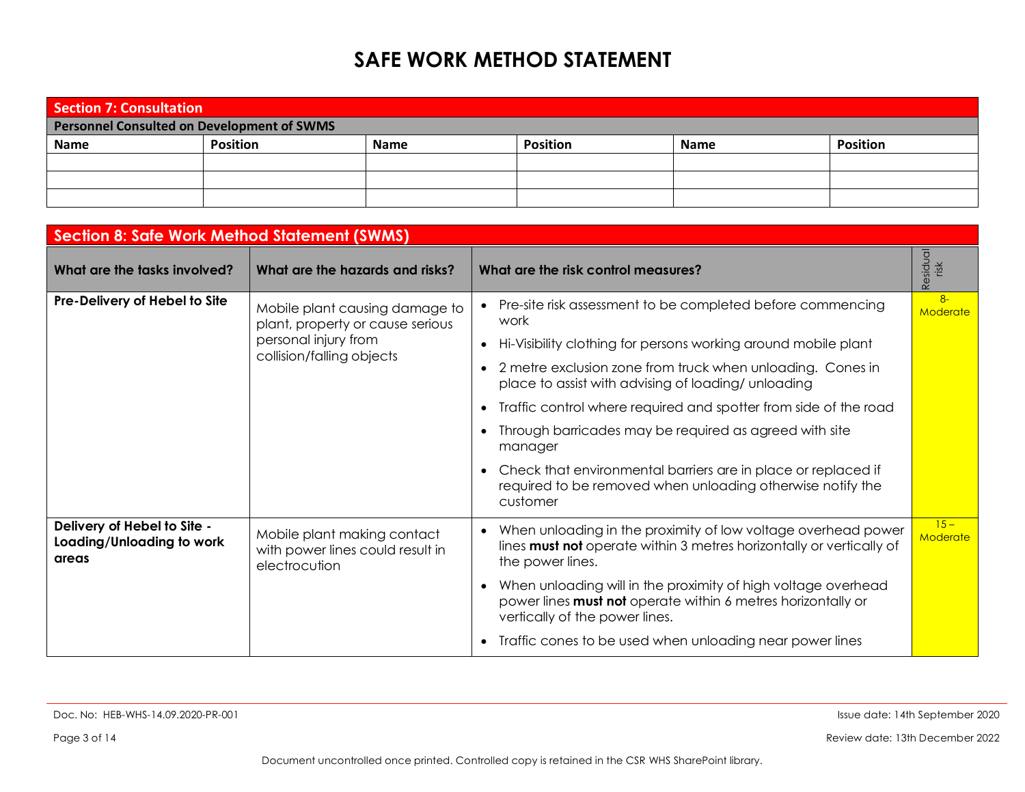| Section 7: Consultation                    |                 |             |                 |             |                 |  |  |  |
|--------------------------------------------|-----------------|-------------|-----------------|-------------|-----------------|--|--|--|
| Personnel Consulted on Development of SWMS |                 |             |                 |             |                 |  |  |  |
| Name                                       | <b>Position</b> | <b>Name</b> | <b>Position</b> | <b>Name</b> | <b>Position</b> |  |  |  |
|                                            |                 |             |                 |             |                 |  |  |  |
|                                            |                 |             |                 |             |                 |  |  |  |
|                                            |                 |             |                 |             |                 |  |  |  |

| <b>Section 8: Safe Work Method Statement (SWMS)</b>               |                                                                                  |                                                                                                                                                                 |                         |  |  |  |
|-------------------------------------------------------------------|----------------------------------------------------------------------------------|-----------------------------------------------------------------------------------------------------------------------------------------------------------------|-------------------------|--|--|--|
| What are the tasks involved?                                      | What are the hazards and risks?                                                  | What are the risk control measures?                                                                                                                             | Residual<br>risk        |  |  |  |
| Pre-Delivery of Hebel to Site                                     | Mobile plant causing damage to<br>plant, property or cause serious               | Pre-site risk assessment to be completed before commencing<br>work                                                                                              | $8-$<br><b>Moderate</b> |  |  |  |
|                                                                   | personal injury from                                                             | Hi-Visibility clothing for persons working around mobile plant                                                                                                  |                         |  |  |  |
|                                                                   | collision/falling objects                                                        | 2 metre exclusion zone from truck when unloading. Cones in<br>place to assist with advising of loading/ unloading                                               |                         |  |  |  |
|                                                                   |                                                                                  | Traffic control where required and spotter from side of the road                                                                                                |                         |  |  |  |
|                                                                   |                                                                                  | Through barricades may be required as agreed with site<br>manager                                                                                               |                         |  |  |  |
|                                                                   |                                                                                  | Check that environmental barriers are in place or replaced if<br>required to be removed when unloading otherwise notify the<br>customer                         |                         |  |  |  |
| Delivery of Hebel to Site -<br>Loading/Unloading to work<br>areas | Mobile plant making contact<br>with power lines could result in<br>electrocution | When unloading in the proximity of low voltage overhead power<br>lines must not operate within 3 metres horizontally or vertically of<br>the power lines.       | $15 -$<br>Moderate      |  |  |  |
|                                                                   |                                                                                  | When unloading will in the proximity of high voltage overhead<br>power lines must not operate within 6 metres horizontally or<br>vertically of the power lines. |                         |  |  |  |
|                                                                   |                                                                                  | Traffic cones to be used when unloading near power lines                                                                                                        |                         |  |  |  |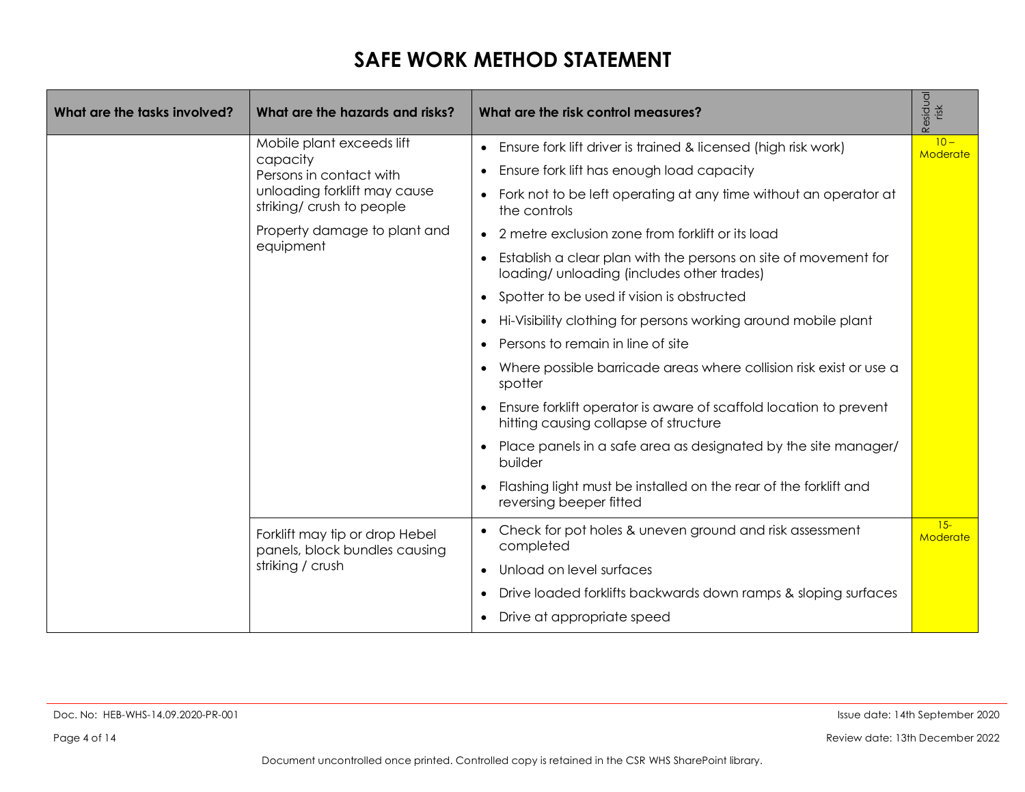| What are the tasks involved? | What are the hazards and risks?                                 | What are the risk control measures?                                                                                        | Residual<br>risk   |
|------------------------------|-----------------------------------------------------------------|----------------------------------------------------------------------------------------------------------------------------|--------------------|
|                              | Mobile plant exceeds lift<br>capacity                           | Ensure fork lift driver is trained & licensed (high risk work)                                                             | $10 -$<br>Moderate |
|                              | Persons in contact with                                         | Ensure fork lift has enough load capacity<br>$\bullet$                                                                     |                    |
|                              | unloading forklift may cause<br>striking/ crush to people       | Fork not to be left operating at any time without an operator at<br>the controls                                           |                    |
|                              | Property damage to plant and                                    | 2 metre exclusion zone from forklift or its load                                                                           |                    |
|                              | equipment                                                       | Establish a clear plan with the persons on site of movement for<br>$\bullet$<br>loading/ unloading (includes other trades) |                    |
|                              |                                                                 | Spotter to be used if vision is obstructed<br>$\bullet$                                                                    |                    |
|                              |                                                                 | Hi-Visibility clothing for persons working around mobile plant                                                             |                    |
|                              |                                                                 | Persons to remain in line of site                                                                                          |                    |
|                              |                                                                 | Where possible barricade areas where collision risk exist or use a<br>spotter                                              |                    |
|                              |                                                                 | Ensure forklift operator is aware of scaffold location to prevent<br>hitting causing collapse of structure                 |                    |
|                              |                                                                 | Place panels in a safe area as designated by the site manager/<br>builder                                                  |                    |
|                              |                                                                 | Flashing light must be installed on the rear of the forklift and<br>reversing beeper fitted                                |                    |
|                              | Forklift may tip or drop Hebel<br>panels, block bundles causing | Check for pot holes & uneven ground and risk assessment<br>completed                                                       | $15-$<br>Moderate  |
|                              | striking / crush                                                | Unload on level surfaces<br>$\bullet$                                                                                      |                    |
|                              |                                                                 | Drive loaded forklifts backwards down ramps & sloping surfaces                                                             |                    |
|                              |                                                                 | Drive at appropriate speed                                                                                                 |                    |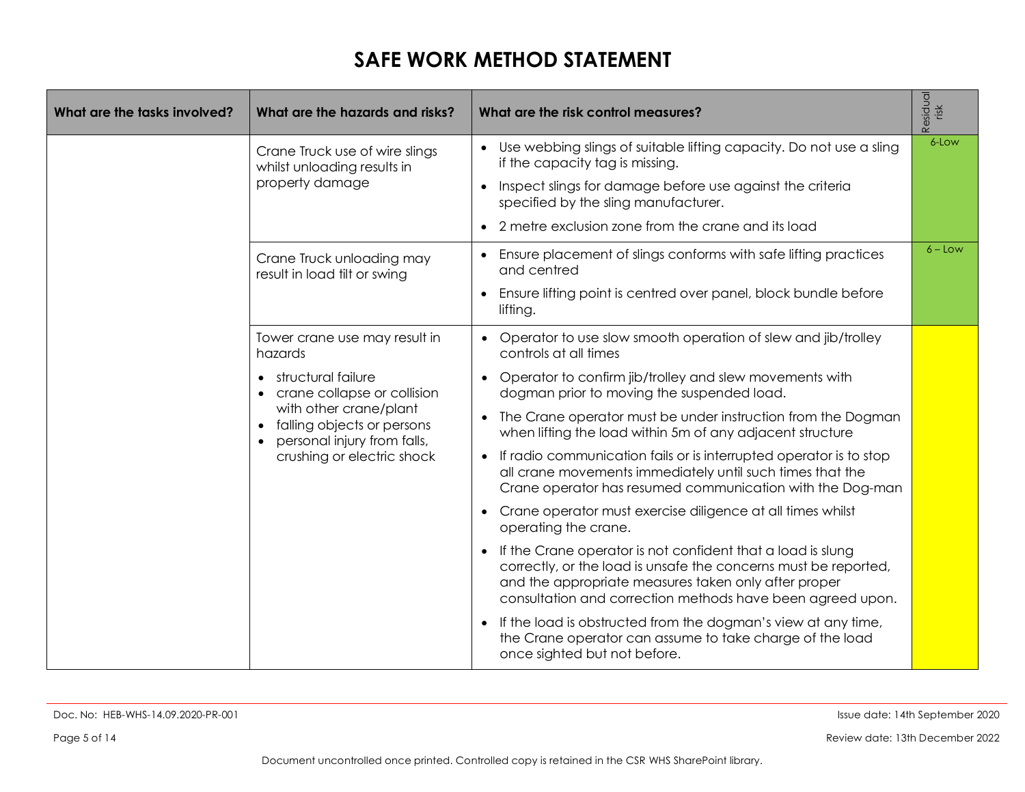| What are the tasks involved? | What are the hazards and risks?                                                                                                                                        | What are the risk control measures?                                                                                                                                                                                                                               | Residual<br>risk |
|------------------------------|------------------------------------------------------------------------------------------------------------------------------------------------------------------------|-------------------------------------------------------------------------------------------------------------------------------------------------------------------------------------------------------------------------------------------------------------------|------------------|
|                              | Crane Truck use of wire slings<br>whilst unloading results in                                                                                                          | • Use webbing slings of suitable lifting capacity. Do not use a sling<br>if the capacity tag is missing.                                                                                                                                                          | 6-Low            |
|                              | property damage                                                                                                                                                        | Inspect slings for damage before use against the criteria<br>specified by the sling manufacturer.                                                                                                                                                                 |                  |
|                              |                                                                                                                                                                        | 2 metre exclusion zone from the crane and its load                                                                                                                                                                                                                |                  |
|                              | Crane Truck unloading may<br>result in load tilt or swing                                                                                                              | Ensure placement of slings conforms with safe lifting practices<br>and centred                                                                                                                                                                                    | $6 - Low$        |
|                              |                                                                                                                                                                        | Ensure lifting point is centred over panel, block bundle before<br>$\bullet$<br>lifting.                                                                                                                                                                          |                  |
|                              | Tower crane use may result in<br>hazards                                                                                                                               | Operator to use slow smooth operation of slew and jib/trolley<br>controls at all times                                                                                                                                                                            |                  |
|                              | structural failure<br>crane collapse or collision<br>with other crane/plant<br>falling objects or persons<br>personal injury from falls,<br>crushing or electric shock | Operator to confirm jib/trolley and slew movements with<br>dogman prior to moving the suspended load.                                                                                                                                                             |                  |
|                              |                                                                                                                                                                        | The Crane operator must be under instruction from the Dogman<br>when lifting the load within 5m of any adjacent structure                                                                                                                                         |                  |
|                              |                                                                                                                                                                        | If radio communication fails or is interrupted operator is to stop<br>$\bullet$<br>all crane movements immediately until such times that the<br>Crane operator has resumed communication with the Dog-man                                                         |                  |
|                              |                                                                                                                                                                        | Crane operator must exercise diligence at all times whilst<br>operating the crane.                                                                                                                                                                                |                  |
|                              |                                                                                                                                                                        | If the Crane operator is not confident that a load is slung<br>$\bullet$<br>correctly, or the load is unsafe the concerns must be reported,<br>and the appropriate measures taken only after proper<br>consultation and correction methods have been agreed upon. |                  |
|                              |                                                                                                                                                                        | If the load is obstructed from the dogman's view at any time,<br>the Crane operator can assume to take charge of the load<br>once sighted but not before.                                                                                                         |                  |

Doc. No: HEB-WHS-14.09.2020-PR-001 Issue date: 14th September 2020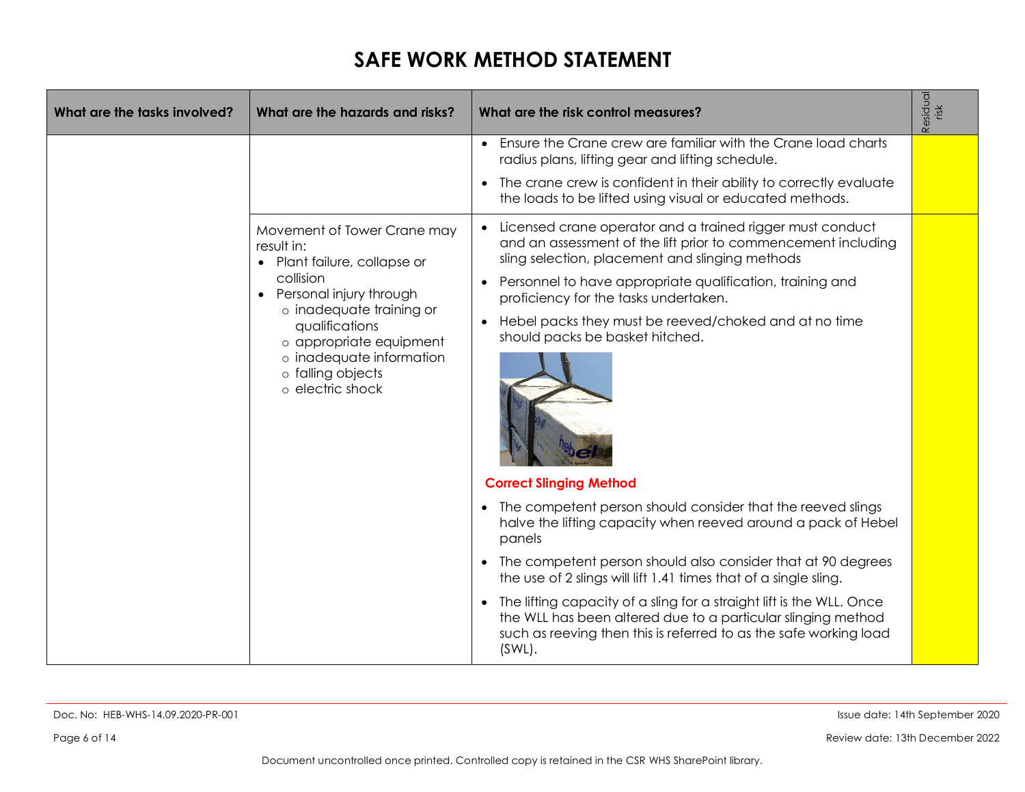| What are the tasks involved? | What are the hazards and risks?                                                                                                                                                                                                                                              | What are the risk control measures?                                                                                                                                                                                                                                                                                                                                                                                            | Residual<br>risk |
|------------------------------|------------------------------------------------------------------------------------------------------------------------------------------------------------------------------------------------------------------------------------------------------------------------------|--------------------------------------------------------------------------------------------------------------------------------------------------------------------------------------------------------------------------------------------------------------------------------------------------------------------------------------------------------------------------------------------------------------------------------|------------------|
|                              |                                                                                                                                                                                                                                                                              | Ensure the Crane crew are familiar with the Crane load charts<br>radius plans, lifting gear and lifting schedule.                                                                                                                                                                                                                                                                                                              |                  |
|                              |                                                                                                                                                                                                                                                                              | The crane crew is confident in their ability to correctly evaluate<br>$\bullet$<br>the loads to be lifted using visual or educated methods.                                                                                                                                                                                                                                                                                    |                  |
|                              | Movement of Tower Crane may<br>result in:<br>• Plant failure, collapse or<br>collision<br>Personal injury through<br>$\bullet$<br>o inadequate training or<br>qualifications<br>o appropriate equipment<br>o inadequate information<br>o falling objects<br>o electric shock | Licensed crane operator and a trained rigger must conduct<br>and an assessment of the lift prior to commencement including<br>sling selection, placement and slinging methods<br>Personnel to have appropriate qualification, training and<br>proficiency for the tasks undertaken.<br>Hebel packs they must be reeved/choked and at no time<br>$\bullet$<br>should packs be basket hitched.<br><b>Correct Slinging Method</b> |                  |
|                              |                                                                                                                                                                                                                                                                              | The competent person should consider that the reeved slings<br>$\bullet$<br>halve the lifting capacity when reeved around a pack of Hebel<br>panels                                                                                                                                                                                                                                                                            |                  |
|                              |                                                                                                                                                                                                                                                                              | The competent person should also consider that at 90 degrees<br>the use of 2 slings will lift 1.41 times that of a single sling.                                                                                                                                                                                                                                                                                               |                  |
|                              |                                                                                                                                                                                                                                                                              | The lifting capacity of a sling for a straight lift is the WLL. Once<br>$\bullet$<br>the WLL has been altered due to a particular slinging method<br>such as reeving then this is referred to as the safe working load<br>$(SWL)$ .                                                                                                                                                                                            |                  |

Doc. No: HEB-WHS-14.09.2020-PR-001 Issue date: 14th September 2020

Page 6 of 14 Review date: 13th December 2022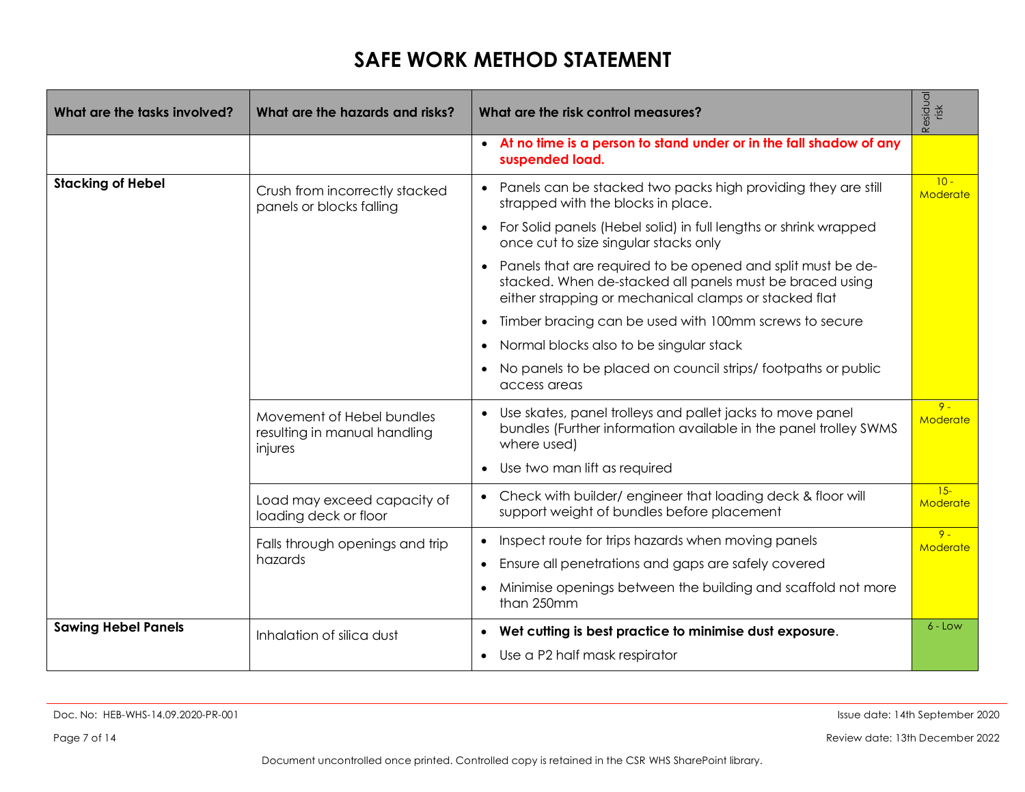| What are the tasks involved? | What are the hazards and risks?                                      | What are the risk control measures?                                                                                                                                              | Residual<br>risk   |
|------------------------------|----------------------------------------------------------------------|----------------------------------------------------------------------------------------------------------------------------------------------------------------------------------|--------------------|
|                              |                                                                      | • At no time is a person to stand under or in the fall shadow of any<br>suspended load.                                                                                          |                    |
| <b>Stacking of Hebel</b>     | Crush from incorrectly stacked<br>panels or blocks falling           | Panels can be stacked two packs high providing they are still<br>$\bullet$<br>strapped with the blocks in place.                                                                 | $10 -$<br>Moderate |
|                              |                                                                      | For Solid panels (Hebel solid) in full lengths or shrink wrapped<br>$\bullet$<br>once cut to size singular stacks only                                                           |                    |
|                              |                                                                      | Panels that are required to be opened and split must be de-<br>stacked. When de-stacked all panels must be braced using<br>either strapping or mechanical clamps or stacked flat |                    |
|                              |                                                                      | Timber bracing can be used with 100mm screws to secure<br>$\bullet$                                                                                                              |                    |
|                              |                                                                      | Normal blocks also to be singular stack<br>$\bullet$                                                                                                                             |                    |
|                              |                                                                      | No panels to be placed on council strips/footpaths or public<br>access areas                                                                                                     |                    |
|                              | Movement of Hebel bundles<br>resulting in manual handling<br>injures | Use skates, panel trolleys and pallet jacks to move panel<br>bundles (Further information available in the panel trolley SWMS<br>where used)                                     | $9 -$<br>Moderate  |
|                              |                                                                      | Use two man lift as required                                                                                                                                                     |                    |
|                              | Load may exceed capacity of<br>loading deck or floor                 | Check with builder/engineer that loading deck & floor will<br>$\bullet$<br>support weight of bundles before placement                                                            | $15 -$<br>Moderate |
|                              | Falls through openings and trip                                      | Inspect route for trips hazards when moving panels<br>$\bullet$                                                                                                                  | $9 -$<br>Moderate  |
|                              | hazards                                                              | Ensure all penetrations and gaps are safely covered<br>$\bullet$                                                                                                                 |                    |
|                              |                                                                      | Minimise openings between the building and scaffold not more<br>$\bullet$<br>than 250mm                                                                                          |                    |
| <b>Sawing Hebel Panels</b>   | Inhalation of silica dust                                            | Wet cutting is best practice to minimise dust exposure.<br>$\bullet$                                                                                                             | $6 - Low$          |
|                              |                                                                      | Use a P2 half mask respirator                                                                                                                                                    |                    |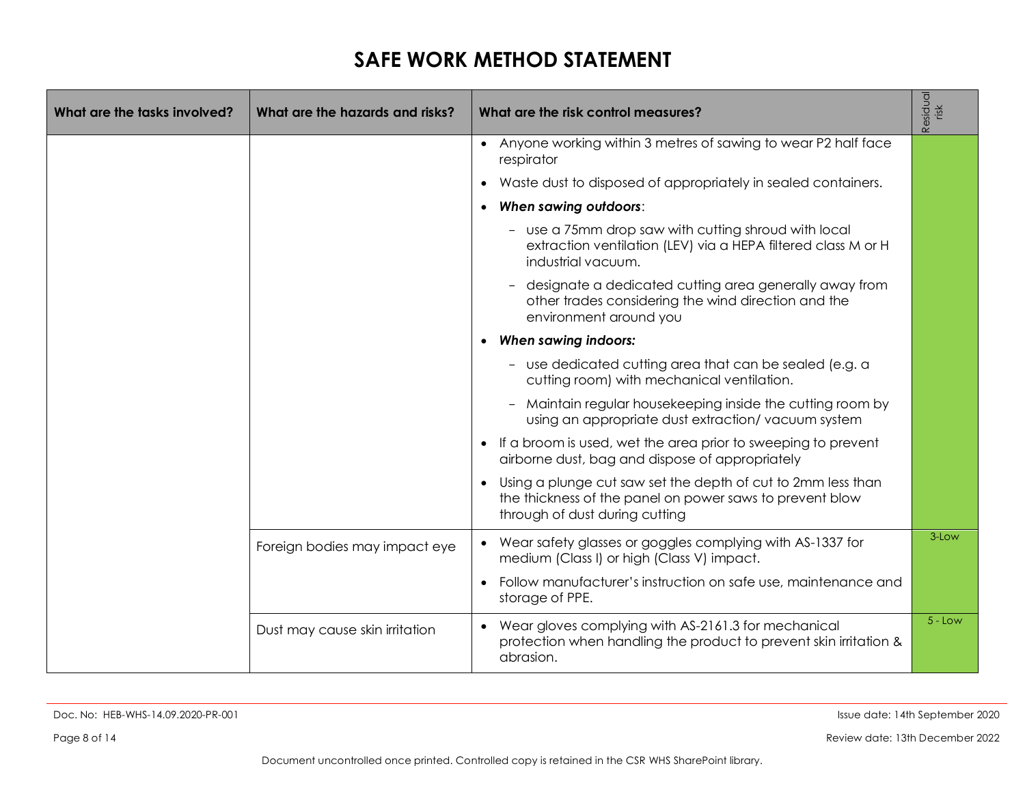| What are the tasks involved? | What are the hazards and risks? |           | What are the risk control measures?                                                                                                                        | Residual<br>risk |
|------------------------------|---------------------------------|-----------|------------------------------------------------------------------------------------------------------------------------------------------------------------|------------------|
|                              |                                 |           | • Anyone working within 3 metres of sawing to wear P2 half face<br>respirator                                                                              |                  |
|                              |                                 |           | Waste dust to disposed of appropriately in sealed containers.                                                                                              |                  |
|                              |                                 |           | When sawing outdoors:                                                                                                                                      |                  |
|                              |                                 |           | - use a 75mm drop saw with cutting shroud with local<br>extraction ventilation (LEV) via a HEPA filtered class M or H<br>industrial vacuum.                |                  |
|                              |                                 |           | designate a dedicated cutting area generally away from<br>other trades considering the wind direction and the<br>environment around you                    |                  |
|                              |                                 | $\bullet$ | <b>When sawing indoors:</b>                                                                                                                                |                  |
|                              |                                 |           | - use dedicated cutting area that can be sealed (e.g. a<br>cutting room) with mechanical ventilation.                                                      |                  |
|                              |                                 |           | - Maintain regular housekeeping inside the cutting room by<br>using an appropriate dust extraction/vacuum system                                           |                  |
|                              |                                 |           | If a broom is used, wet the area prior to sweeping to prevent<br>airborne dust, bag and dispose of appropriately                                           |                  |
|                              |                                 |           | Using a plunge cut saw set the depth of cut to 2mm less than<br>the thickness of the panel on power saws to prevent blow<br>through of dust during cutting |                  |
|                              | Foreign bodies may impact eye   |           | • Wear safety glasses or goggles complying with AS-1337 for<br>medium (Class I) or high (Class V) impact.                                                  | 3-Low            |
|                              |                                 |           | Follow manufacturer's instruction on safe use, maintenance and<br>storage of PPE.                                                                          |                  |
|                              | Dust may cause skin irritation  |           | Wear gloves complying with AS-2161.3 for mechanical<br>protection when handling the product to prevent skin irritation &<br>abrasion.                      | $5 - Low$        |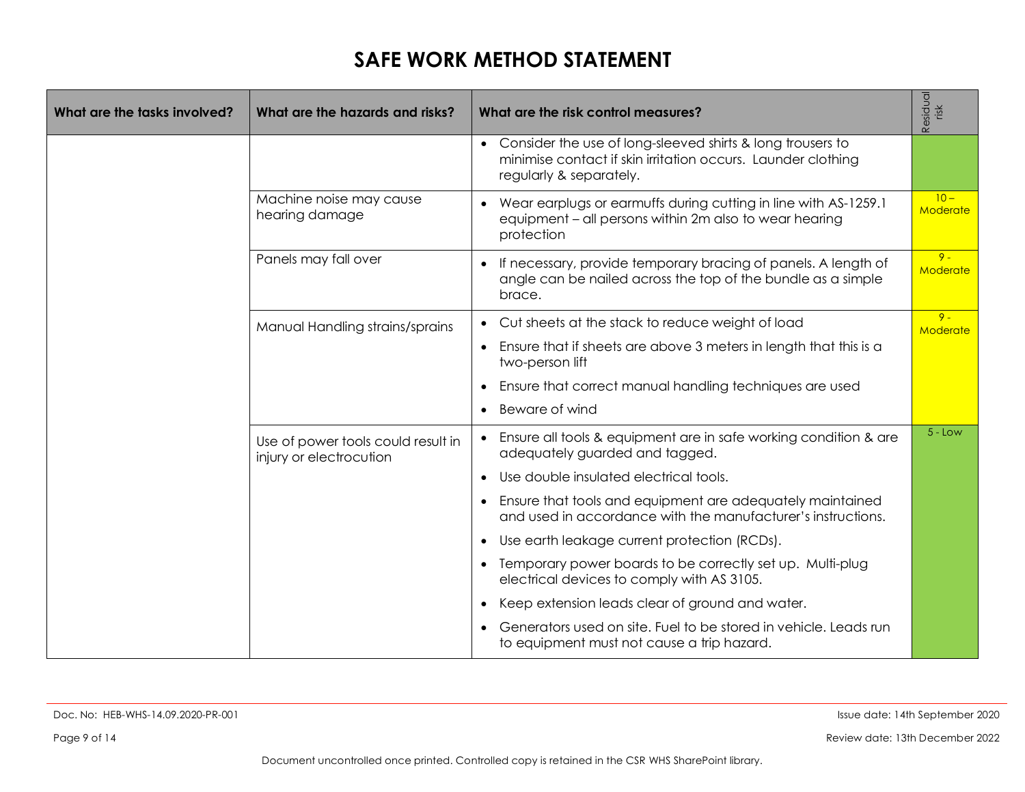| What are the tasks involved? | What are the hazards and risks?                               | What are the risk control measures?                                                                                                                     | Residual<br>risk          |
|------------------------------|---------------------------------------------------------------|---------------------------------------------------------------------------------------------------------------------------------------------------------|---------------------------|
|                              |                                                               | • Consider the use of long-sleeved shirts & long trousers to<br>minimise contact if skin irritation occurs. Launder clothing<br>regularly & separately. |                           |
|                              | Machine noise may cause<br>hearing damage                     | Wear earplugs or earmuffs during cutting in line with AS-1259.1<br>equipment - all persons within 2m also to wear hearing<br>protection                 | $10 -$<br><b>Moderate</b> |
|                              | Panels may fall over                                          | • If necessary, provide temporary bracing of panels. A length of<br>angle can be nailed across the top of the bundle as a simple<br>brace.              | $9 -$<br>Moderate         |
|                              | Manual Handling strains/sprains                               | Cut sheets at the stack to reduce weight of load                                                                                                        | $9 -$<br>Moderate         |
|                              |                                                               | • Ensure that if sheets are above 3 meters in length that this is a<br>two-person lift                                                                  |                           |
|                              |                                                               | Ensure that correct manual handling techniques are used<br>$\bullet$                                                                                    |                           |
|                              |                                                               | Beware of wind<br>$\bullet$                                                                                                                             |                           |
|                              | Use of power tools could result in<br>injury or electrocution | • Ensure all tools & equipment are in safe working condition & are<br>adequately guarded and tagged.                                                    | $5 - Low$                 |
|                              |                                                               | Use double insulated electrical tools.                                                                                                                  |                           |
|                              |                                                               | • Ensure that tools and equipment are adequately maintained<br>and used in accordance with the manufacturer's instructions.                             |                           |
|                              |                                                               | Use earth leakage current protection (RCDs).<br>$\bullet$                                                                                               |                           |
|                              |                                                               | Temporary power boards to be correctly set up. Multi-plug<br>$\bullet$<br>electrical devices to comply with AS 3105.                                    |                           |
|                              |                                                               | Keep extension leads clear of ground and water.                                                                                                         |                           |
|                              |                                                               | Generators used on site. Fuel to be stored in vehicle. Leads run<br>to equipment must not cause a trip hazard.                                          |                           |

Page 9 of 14 Review date: 13th December 2022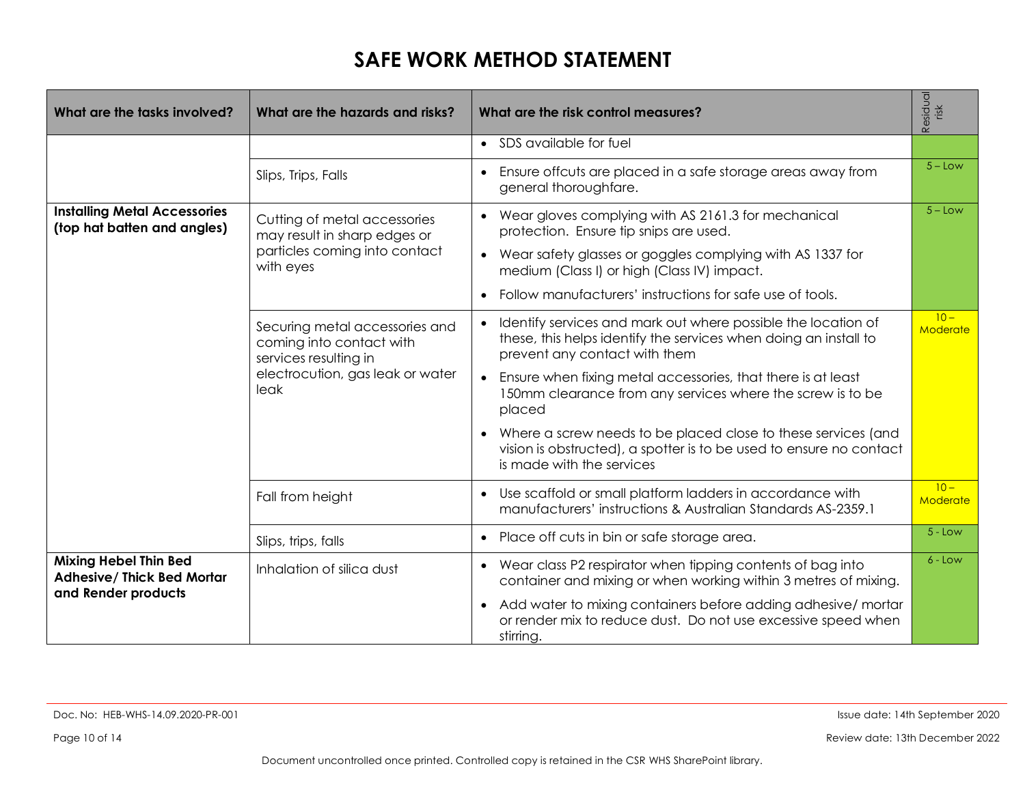| What are the tasks involved?                                       | What are the hazards and risks?                                                     | What are the risk control measures?                                                                                                                                | Residual<br>risk   |
|--------------------------------------------------------------------|-------------------------------------------------------------------------------------|--------------------------------------------------------------------------------------------------------------------------------------------------------------------|--------------------|
|                                                                    |                                                                                     | • SDS available for fuel                                                                                                                                           |                    |
|                                                                    | Slips, Trips, Falls                                                                 | Ensure offcuts are placed in a safe storage areas away from<br>$\bullet$<br>general thoroughfare.                                                                  | $5 -$ Low          |
| <b>Installing Metal Accessories</b><br>(top hat batten and angles) | Cutting of metal accessories<br>may result in sharp edges or                        | Wear gloves complying with AS 2161.3 for mechanical<br>protection. Ensure tip snips are used.                                                                      | $5 -$ Low          |
|                                                                    | particles coming into contact<br>with eyes                                          | • Wear safety glasses or goggles complying with AS 1337 for<br>medium (Class I) or high (Class IV) impact.                                                         |                    |
|                                                                    |                                                                                     | Follow manufacturers' instructions for safe use of tools.                                                                                                          |                    |
|                                                                    | Securing metal accessories and<br>coming into contact with<br>services resulting in | Identify services and mark out where possible the location of<br>these, this helps identify the services when doing an install to<br>prevent any contact with them | $10 -$<br>Moderate |
|                                                                    | electrocution, gas leak or water<br>leak                                            | Ensure when fixing metal accessories, that there is at least<br>150mm clearance from any services where the screw is to be<br>placed                               |                    |
|                                                                    |                                                                                     | Where a screw needs to be placed close to these services (and<br>vision is obstructed), a spotter is to be used to ensure no contact<br>is made with the services  |                    |
|                                                                    | Fall from height                                                                    | Use scaffold or small platform ladders in accordance with<br>manufacturers' instructions & Australian Standards AS-2359.1                                          | $10 -$<br>Moderate |
|                                                                    | Slips, trips, falls                                                                 | Place off cuts in bin or safe storage area.<br>$\bullet$                                                                                                           | $5 - Low$          |
| <b>Mixing Hebel Thin Bed</b><br><b>Adhesive/ Thick Bed Mortar</b>  | Inhalation of silica dust                                                           | Wear class P2 respirator when tipping contents of bag into<br>$\bullet$<br>container and mixing or when working within 3 metres of mixing.                         | $6 - Low$          |
| and Render products                                                |                                                                                     | Add water to mixing containers before adding adhesive/mortar<br>$\bullet$<br>or render mix to reduce dust. Do not use excessive speed when<br>stirring.            |                    |

Page 10 of 14 Review date: 13th December 2022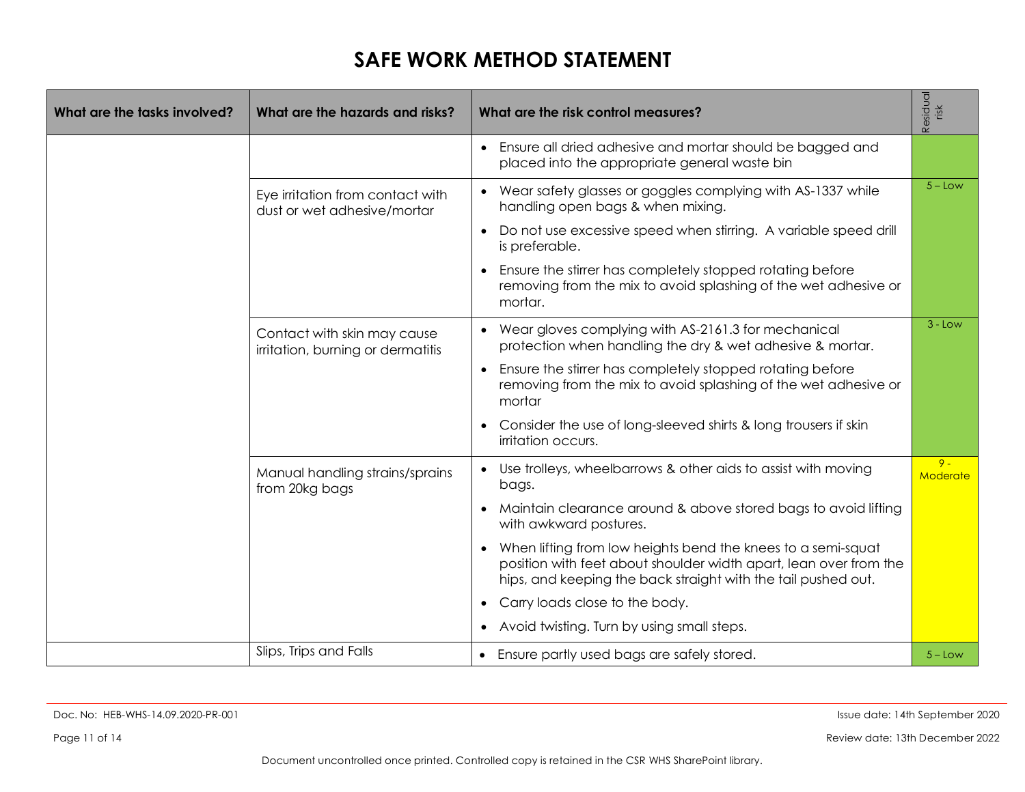| What are the tasks involved? | What are the hazards and risks?                                  | What are the risk control measures?                                                                                                                                                                |                   |  |  |  |
|------------------------------|------------------------------------------------------------------|----------------------------------------------------------------------------------------------------------------------------------------------------------------------------------------------------|-------------------|--|--|--|
|                              |                                                                  | Ensure all dried adhesive and mortar should be bagged and<br>placed into the appropriate general waste bin                                                                                         |                   |  |  |  |
|                              | Eye irritation from contact with<br>dust or wet adhesive/mortar  | Wear safety glasses or goggles complying with AS-1337 while<br>$\bullet$<br>handling open bags & when mixing.                                                                                      | $5 -$ Low         |  |  |  |
|                              |                                                                  | Do not use excessive speed when stirring. A variable speed drill<br>is preferable.                                                                                                                 |                   |  |  |  |
|                              |                                                                  | Ensure the stirrer has completely stopped rotating before<br>removing from the mix to avoid splashing of the wet adhesive or<br>mortar.                                                            |                   |  |  |  |
|                              | Contact with skin may cause<br>irritation, burning or dermatitis | Wear gloves complying with AS-2161.3 for mechanical<br>$\bullet$<br>protection when handling the dry & wet adhesive & mortar.                                                                      | $3 - Low$         |  |  |  |
|                              |                                                                  | Ensure the stirrer has completely stopped rotating before<br>$\bullet$<br>removing from the mix to avoid splashing of the wet adhesive or<br>mortar                                                |                   |  |  |  |
|                              |                                                                  | Consider the use of long-sleeved shirts & long trousers if skin<br>irritation occurs.                                                                                                              |                   |  |  |  |
|                              | Manual handling strains/sprains<br>from 20kg bags                | Use trolleys, wheelbarrows & other aids to assist with moving<br>bags.                                                                                                                             | $9 -$<br>Moderate |  |  |  |
|                              |                                                                  | Maintain clearance around & above stored bags to avoid lifting<br>with awkward postures.                                                                                                           |                   |  |  |  |
|                              |                                                                  | When lifting from low heights bend the knees to a semi-squat<br>position with feet about shoulder width apart, lean over from the<br>hips, and keeping the back straight with the tail pushed out. |                   |  |  |  |
|                              |                                                                  | Carry loads close to the body.                                                                                                                                                                     |                   |  |  |  |
|                              |                                                                  | Avoid twisting. Turn by using small steps.                                                                                                                                                         |                   |  |  |  |
|                              | Slips, Trips and Falls                                           | Ensure partly used bags are safely stored.                                                                                                                                                         | $5 - Low$         |  |  |  |

Page 11 of 14 Review date: 13th December 2022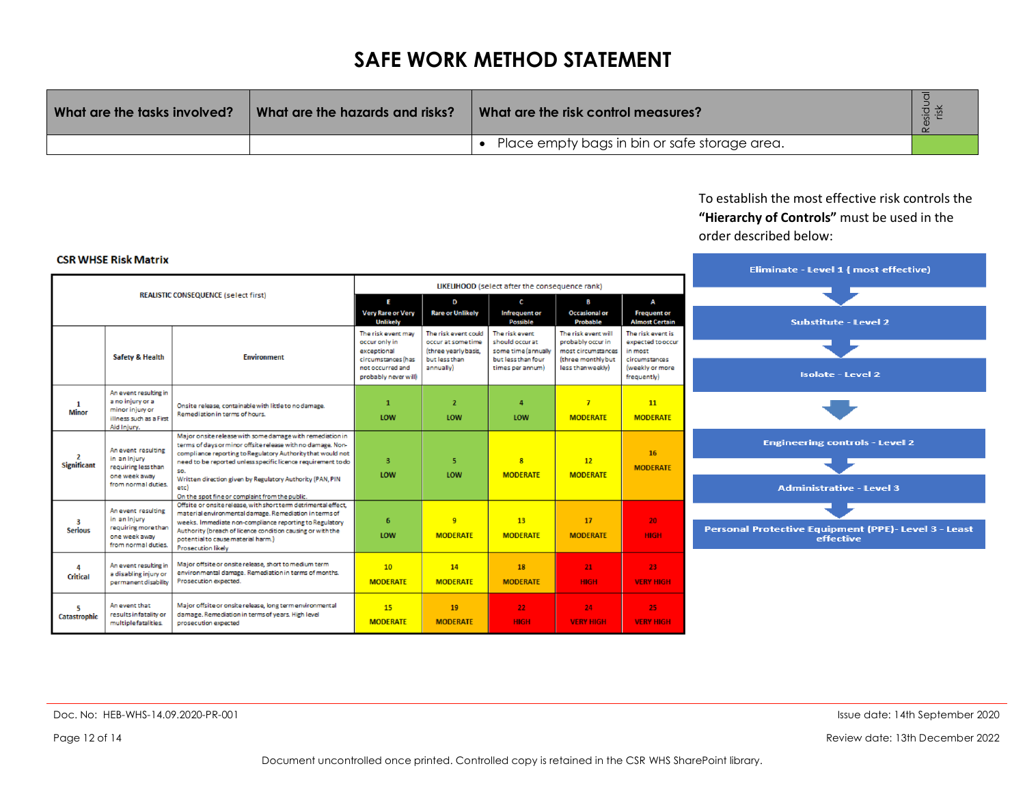| What are the tasks involved? | What are the hazards and risks? | What are the risk control measures?           |  |
|------------------------------|---------------------------------|-----------------------------------------------|--|
|                              |                                 | Place empty bags in bin or safe storage area. |  |

#### To establish the most effective risk controls the **"Hierarchy of Controls"** must be used in the order described below:

#### **CSR WHSE Risk Matrix**

|                                                |                                                                                                        |                                                                                                                                                                                                                                                                                                                                                                                        |                                                                |                                                                    |                                                          | Eliminate - Level 1 (most effective)                           |                                                   |                                                                          |
|------------------------------------------------|--------------------------------------------------------------------------------------------------------|----------------------------------------------------------------------------------------------------------------------------------------------------------------------------------------------------------------------------------------------------------------------------------------------------------------------------------------------------------------------------------------|----------------------------------------------------------------|--------------------------------------------------------------------|----------------------------------------------------------|----------------------------------------------------------------|---------------------------------------------------|--------------------------------------------------------------------------|
| LIKELIHOOD (select after the consequence rank) |                                                                                                        |                                                                                                                                                                                                                                                                                                                                                                                        |                                                                |                                                                    |                                                          |                                                                |                                                   |                                                                          |
| <b>REALISTIC CONSEQUENCE (select first)</b>    |                                                                                                        | E                                                                                                                                                                                                                                                                                                                                                                                      | D                                                              | c.                                                                 | B                                                        | A                                                              |                                                   |                                                                          |
|                                                |                                                                                                        | <b>Very Rare or Very</b><br><b>Unlikely</b>                                                                                                                                                                                                                                                                                                                                            | <b>Rare or Unlikely</b>                                        | Infrequent or<br><b>Possible</b>                                   | <b>Occasional or</b><br><b>Probable</b>                  | <b>Frequent or</b><br><b>Almost Certain</b>                    | <b>Substitute - Level 2</b>                       |                                                                          |
| <b>Safety &amp; Health</b>                     |                                                                                                        | <b>Environment</b>                                                                                                                                                                                                                                                                                                                                                                     | The risk event may<br>occur only in<br>exceptional             | The risk event could<br>occur at some time<br>(three yearly basis, | The risk event<br>should occur at<br>some time (annually | The risk event will<br>probably occur in<br>most circumstances | The risk event is<br>expected to occur<br>in most |                                                                          |
|                                                |                                                                                                        |                                                                                                                                                                                                                                                                                                                                                                                        | circumstances (has<br>not occurred and<br>probably never will) | but less than<br>annually)                                         | but less than four<br>times per annum)                   | (three monthly but<br>less than weekly)                        | circumstances<br>(weekly or more<br>frequently)   | <b>Isolate - Level 2</b>                                                 |
| -1<br><b>Minor</b>                             | An event resulting in<br>a no injury or a<br>minor injury or<br>illness such as a First<br>Aid Injury. | Onsite release, containable with little to no damage.<br>Remediation in terms of hours.                                                                                                                                                                                                                                                                                                | $\mathbf{1}$<br>LOW                                            | $\overline{2}$<br>LOW                                              | $\mathbf{a}$<br>LOW                                      | $\overline{7}$<br><b>MODERATE</b>                              | <sup>11</sup><br><b>MODERATE</b>                  |                                                                          |
| $\mathbf{2}$<br><b>Significant</b>             | An event resulting<br>in an Injury<br>requiring less than<br>one week away<br>from normal duties.      | Major onsite release with some damage with remediation in<br>terms of days or minor offsite release with no damage. Non-<br>compliance reporting to Regulatory Authority that would not<br>need to be reported unless specific licence requirement to do<br>SO.<br>Written direction given by Regulatory Authority (PAN, PIN<br>etc)<br>On the spot fine or complaint from the public. | $\overline{\mathbf{3}}$<br>LOW                                 | 5<br>LOW                                                           | $\bf{8}$<br><b>MODERATE</b>                              | 12<br><b>MODERATE</b>                                          | 16<br><b>MODERATE</b>                             | <b>Engineering controls - Level 2</b><br><b>Administrative - Level 3</b> |
| 3<br><b>Serious</b>                            | An event resulting<br>in an Injury<br>requiring more than<br>one week away<br>from normal duties.      | Offsite or onsite release, with short term detrimental effect,<br>material environmental damage. Remediation in terms of<br>weeks. Immediate non-compliance reporting to Regulatory<br>Authority (breach of licence condition causing or with the<br>potential to cause material harm.)<br><b>Prosecution likely</b>                                                                   | 6<br>LOW                                                       | 9<br><b>MODERATE</b>                                               | 13<br><b>MODERATE</b>                                    | 17<br><b>MODERATE</b>                                          | 20 <sub>1</sub><br><b>HIGH</b>                    | Personal Protective Equipment (PPE)- Level 3 - Le<br>effective           |
| 4<br><b>Critical</b>                           | An event resulting in<br>a disabling injury or<br>permanent disability                                 | Major offsite or onsite release, short to medium term<br>environmental damage. Remediation in terms of months.<br>Prosecution expected.                                                                                                                                                                                                                                                | 10 <sup>1</sup><br><b>MODERATE</b>                             | <b>14</b><br><b>MODERATE</b>                                       | 18<br><b>MODERATE</b>                                    | 21<br><b>HIGH</b>                                              | 23<br><b>VERY HIGH</b>                            |                                                                          |
| 5<br>Catastrophic                              | An event that<br>results infatality or<br>multiple fatalities.                                         | Major offsite or onsite release, long term environmental<br>damage. Remediation in terms of years. High level<br>prosecution expected                                                                                                                                                                                                                                                  | 15<br><b>MODERATE</b>                                          | 19<br><b>MODERATE</b>                                              | 22 <sub>1</sub><br><b>HIGH</b>                           | 24<br><b>VERY HIGH</b>                                         | 25 <sub>1</sub><br><b>VERY HIGH</b>               |                                                                          |

ıst

Page 12 of 14 Review date: 13th December 2022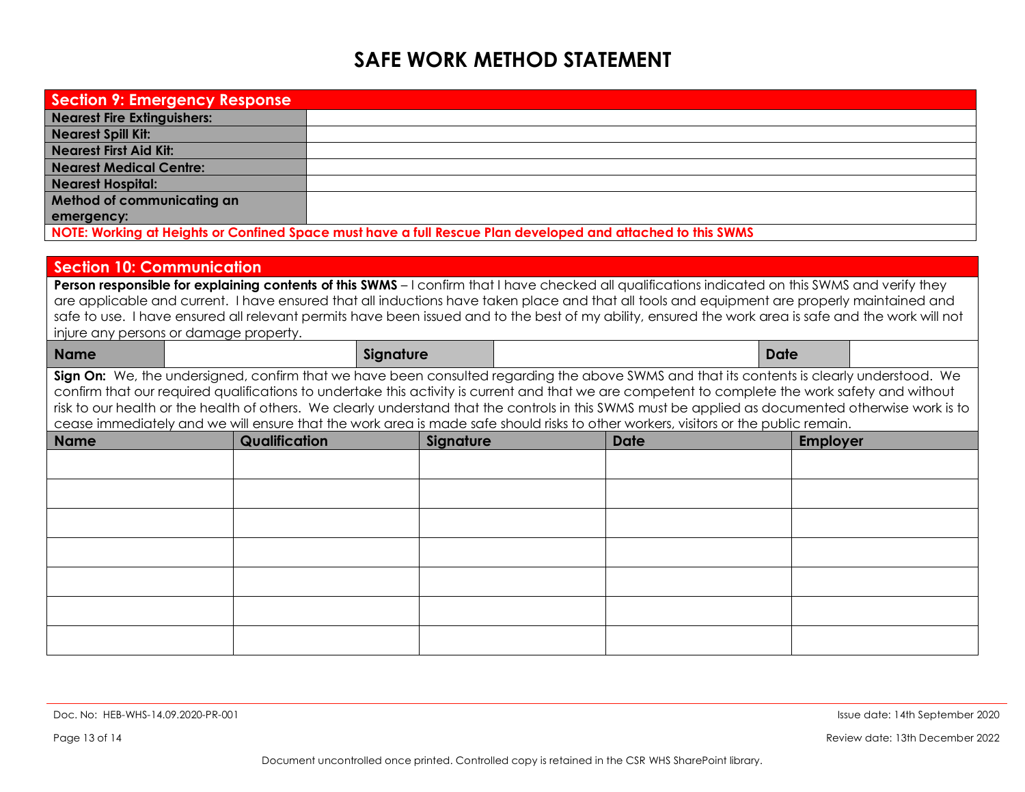| <b>Section 9: Emergency Response</b> |                                                                                                                                                                                                                                                                                                                                                                                                                                                                                                                                                                                             |           |           |  |      |             |                 |  |  |
|--------------------------------------|---------------------------------------------------------------------------------------------------------------------------------------------------------------------------------------------------------------------------------------------------------------------------------------------------------------------------------------------------------------------------------------------------------------------------------------------------------------------------------------------------------------------------------------------------------------------------------------------|-----------|-----------|--|------|-------------|-----------------|--|--|
| <b>Nearest Fire Extinguishers:</b>   |                                                                                                                                                                                                                                                                                                                                                                                                                                                                                                                                                                                             |           |           |  |      |             |                 |  |  |
| <b>Nearest Spill Kit:</b>            |                                                                                                                                                                                                                                                                                                                                                                                                                                                                                                                                                                                             |           |           |  |      |             |                 |  |  |
| <b>Nearest First Aid Kit:</b>        |                                                                                                                                                                                                                                                                                                                                                                                                                                                                                                                                                                                             |           |           |  |      |             |                 |  |  |
| <b>Nearest Medical Centre:</b>       |                                                                                                                                                                                                                                                                                                                                                                                                                                                                                                                                                                                             |           |           |  |      |             |                 |  |  |
| <b>Nearest Hospital:</b>             |                                                                                                                                                                                                                                                                                                                                                                                                                                                                                                                                                                                             |           |           |  |      |             |                 |  |  |
| Method of communicating an           |                                                                                                                                                                                                                                                                                                                                                                                                                                                                                                                                                                                             |           |           |  |      |             |                 |  |  |
| emergency:                           |                                                                                                                                                                                                                                                                                                                                                                                                                                                                                                                                                                                             |           |           |  |      |             |                 |  |  |
|                                      | NOTE: Working at Heights or Confined Space must have a full Rescue Plan developed and attached to this SWMS                                                                                                                                                                                                                                                                                                                                                                                                                                                                                 |           |           |  |      |             |                 |  |  |
|                                      |                                                                                                                                                                                                                                                                                                                                                                                                                                                                                                                                                                                             |           |           |  |      |             |                 |  |  |
| <b>Section 10: Communication</b>     |                                                                                                                                                                                                                                                                                                                                                                                                                                                                                                                                                                                             |           |           |  |      |             |                 |  |  |
|                                      | Person responsible for explaining contents of this SWMS - I confirm that I have checked all qualifications indicated on this SWMS and verify they<br>are applicable and current. I have ensured that all inductions have taken place and that all tools and equipment are properly maintained and<br>safe to use. I have ensured all relevant permits have been issued and to the best of my ability, ensured the work area is safe and the work will not<br>injure any persons or damage property.                                                                                         |           |           |  |      |             |                 |  |  |
| <b>Name</b>                          |                                                                                                                                                                                                                                                                                                                                                                                                                                                                                                                                                                                             | Signature |           |  |      | <b>Date</b> |                 |  |  |
|                                      | Sign On: We, the undersigned, confirm that we have been consulted regarding the above SWMS and that its contents is clearly understood. We<br>confirm that our required qualifications to undertake this activity is current and that we are competent to complete the work safety and without<br>risk to our health or the health of others. We clearly understand that the controls in this SWMS must be applied as documented otherwise work is to<br>cease immediately and we will ensure that the work area is made safe should risks to other workers, visitors or the public remain. |           |           |  |      |             |                 |  |  |
| <b>Name</b>                          | Qualification                                                                                                                                                                                                                                                                                                                                                                                                                                                                                                                                                                               |           | Signature |  | Date |             | <b>Employer</b> |  |  |
|                                      |                                                                                                                                                                                                                                                                                                                                                                                                                                                                                                                                                                                             |           |           |  |      |             |                 |  |  |
|                                      |                                                                                                                                                                                                                                                                                                                                                                                                                                                                                                                                                                                             |           |           |  |      |             |                 |  |  |
|                                      |                                                                                                                                                                                                                                                                                                                                                                                                                                                                                                                                                                                             |           |           |  |      |             |                 |  |  |
|                                      |                                                                                                                                                                                                                                                                                                                                                                                                                                                                                                                                                                                             |           |           |  |      |             |                 |  |  |
|                                      |                                                                                                                                                                                                                                                                                                                                                                                                                                                                                                                                                                                             |           |           |  |      |             |                 |  |  |
|                                      |                                                                                                                                                                                                                                                                                                                                                                                                                                                                                                                                                                                             |           |           |  |      |             |                 |  |  |
|                                      |                                                                                                                                                                                                                                                                                                                                                                                                                                                                                                                                                                                             |           |           |  |      |             |                 |  |  |